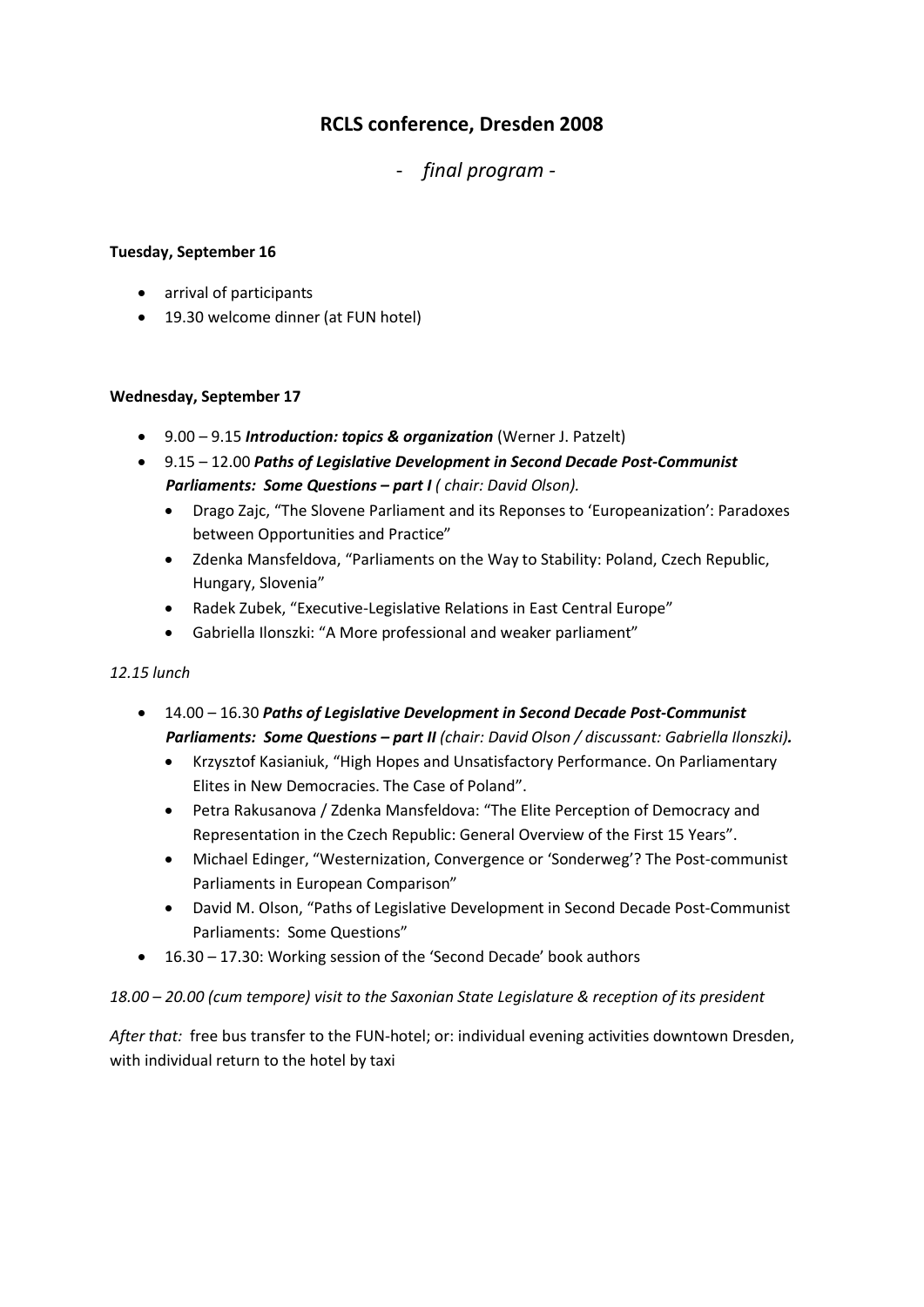# **RCLS conference, Dresden 2008**

- *final program -*

# **Tuesday, September 16**

- arrival of participants
- 19.30 welcome dinner (at FUN hotel)

## **Wednesday, September 17**

- 9.00 9.15 *Introduction: topics & organization* (Werner J. Patzelt)
- 9.15 12.00 *Paths of Legislative Development in Second Decade Post-Communist Parliaments: Some Questions – part I ( chair: David Olson).*
	- Drago Zajc, "The Slovene Parliament and its Reponses to 'Europeanization': Paradoxes between Opportunities and Practice"
	- Zdenka Mansfeldova, "Parliaments on the Way to Stability: Poland, Czech Republic, Hungary, Slovenia"
	- Radek Zubek, "Executive-Legislative Relations in East Central Europe"
	- Gabriella Ilonszki: "A More professional and weaker parliament"

### *12.15 lunch*

- 14.00 16.30 *Paths of Legislative Development in Second Decade Post-Communist Parliaments: Some Questions – part II (chair: David Olson / discussant: Gabriella Ilonszki).*
	- Krzysztof Kasianiuk, "High Hopes and Unsatisfactory Performance. On Parliamentary Elites in New Democracies. The Case of Poland".
	- Petra Rakusanova / Zdenka Mansfeldova: "The Elite Perception of Democracy and Representation in the Czech Republic: General Overview of the First 15 Years".
	- Michael Edinger, "Westernization, Convergence or 'Sonderweg'? The Post-communist Parliaments in European Comparison"
	- David M. Olson, "Paths of Legislative Development in Second Decade Post-Communist Parliaments: Some Questions"
- 16.30 17.30: Working session of the 'Second Decade' book authors

# *18.00 – 20.00 (cum tempore) visit to the Saxonian State Legislature & reception of its president*

*After that:* free bus transfer to the FUN-hotel; or: individual evening activities downtown Dresden, with individual return to the hotel by taxi